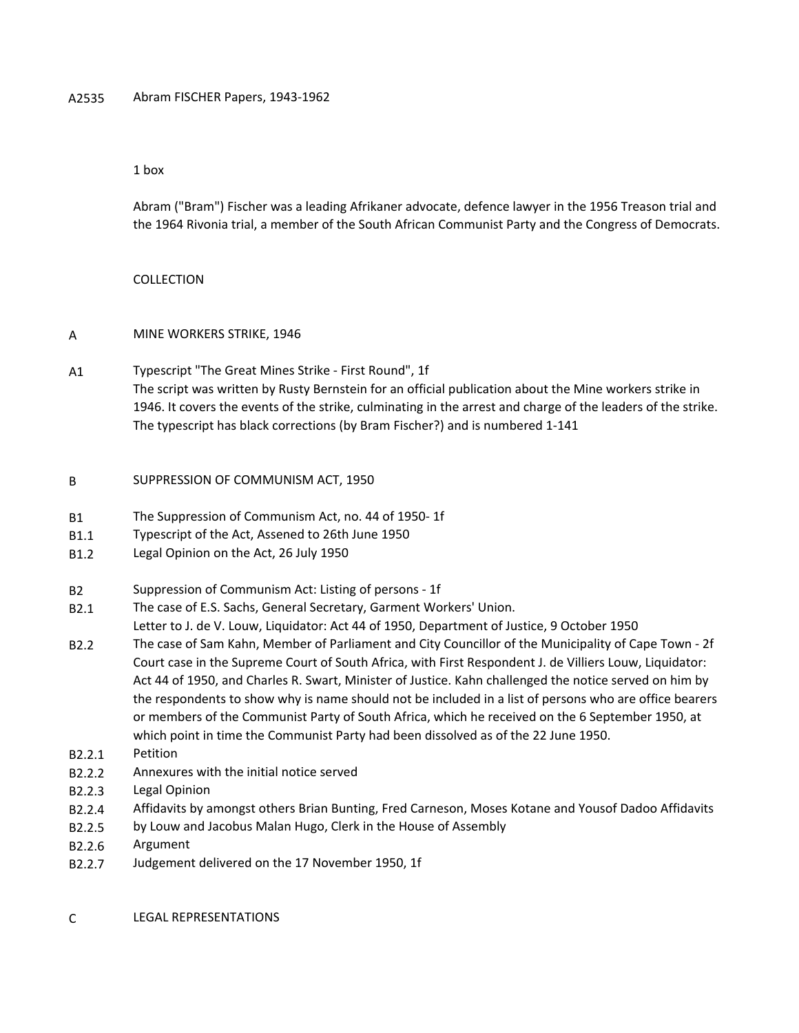## 1 box

Abram ("Bram") Fischer was a leading Afrikaner advocate, defence lawyer in the 1956 Treason trial and the 1964 Rivonia trial, a member of the South African Communist Party and the Congress of Democrats.

## COLLECTION

## A MINE WORKERS STRIKE, 1946

A1 Typescript "The Great Mines Strike ‐ First Round", 1f The script was written by Rusty Bernstein for an official publication about the Mine workers strike in 1946. It covers the events of the strike, culminating in the arrest and charge of the leaders of the strike. The typescript has black corrections (by Bram Fischer?) and is numbered 1‐141

## B SUPPRESSION OF COMMUNISM ACT, 1950

- B1 The Suppression of Communism Act, no. 44 of 1950‐ 1f
- B1.1 Typescript of the Act, Assened to 26th June 1950
- B1.2 Legal Opinion on the Act, 26 July 1950
- $B2$ Suppression of Communism Act: Listing of persons ‐ 1f
- B2.1 The case of E.S. Sachs, General Secretary, Garment Workers' Union.
- Letter to J. de V. Louw, Liquidator: Act 44 of 1950, Department of Justice, 9 October 1950
- B2.2 The case of Sam Kahn, Member of Parliament and City Councillor of the Municipality of Cape Town ‐ 2f Court case in the Supreme Court of South Africa, with First Respondent J. de Villiers Louw, Liquidator: Act 44 of 1950, and Charles R. Swart, Minister of Justice. Kahn challenged the notice served on him by the respondents to show why is name should not be included in a list of persons who are office bearers or members of the Communist Party of South Africa, which he received on the 6 September 1950, at which point in time the Communist Party had been dissolved as of the 22 June 1950.
- B2.2.1 Petition
- B2.2.2 Annexures with the initial notice served
- B2.2.3 Legal Opinion
- B2.2.4 Affidavits by amongst others Brian Bunting, Fred Carneson, Moses Kotane and Yousof Dadoo Affidavits
- B2.2.5 by Louw and Jacobus Malan Hugo, Clerk in the House of Assembly
- B2.2.6 Argument
- B2.2.7 Judgement delivered on the 17 November 1950, 1f

C LEGAL REPRESENTATIONS